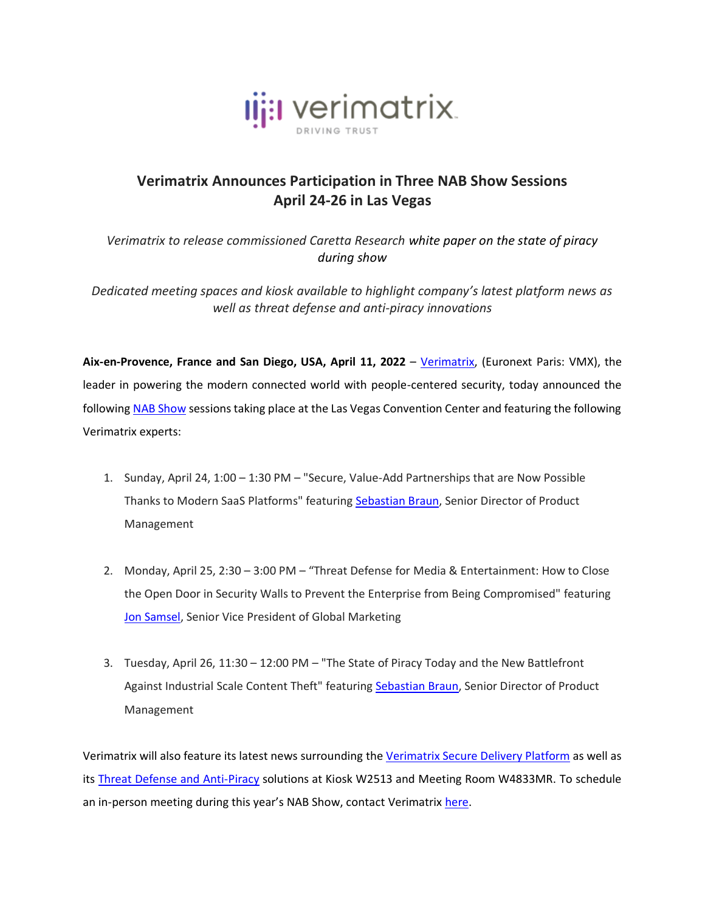

## **Verimatrix Announces Participation in Three NAB Show Sessions April 24-26 in Las Vegas**

*Verimatrix to release commissioned Caretta Research white paper on the state of piracy during show*

*Dedicated meeting spaces and kiosk available to highlight company's latest platform news as well as threat defense and anti-piracy innovations*

**Aix-en-Provence, France and San Diego, USA, April 11, 2022** – [Verimatrix,](http://www.verimatrix.com/) (Euronext Paris: VMX), the leader in powering the modern connected world with people-centered security, today announced the followin[g NAB Show](https://nabshow.com/) sessions taking place at the Las Vegas Convention Center and featuring the following Verimatrix experts:

- 1. Sunday, April 24, 1:00 1:30 PM "Secure, Value-Add Partnerships that are Now Possible Thanks to Modern SaaS Platforms" featuring [Sebastian Braun,](https://www.linkedin.com/in/scbraun/) Senior Director of Product Management
- 2. Monday, April 25, 2:30 3:00 PM "Threat Defense for Media & Entertainment: How to Close the Open Door in Security Walls to Prevent the Enterprise from Being Compromised" featuring [Jon Samsel,](https://www.linkedin.com/in/jonsamsel/) Senior Vice President of Global Marketing
- 3. Tuesday, April 26, 11:30 12:00 PM "The State of Piracy Today and the New Battlefront Against Industrial Scale Content Theft" featuring [Sebastian Braun,](https://www.linkedin.com/in/scbraun/) Senior Director of Product Management

Verimatrix will also feature its latest news surrounding the [Verimatrix Secure Delivery Platform](https://www.verimatrix.com/platform/) as well as its [Threat Defense and Anti-Piracy](https://www.verimatrix.com/products/) solutions at Kiosk W2513 and Meeting Room W4833MR. To schedule an in-person meeting during this year's NAB Show, contact Verimatrix [here.](https://www.verimatrix.com/book-meeting-event/)